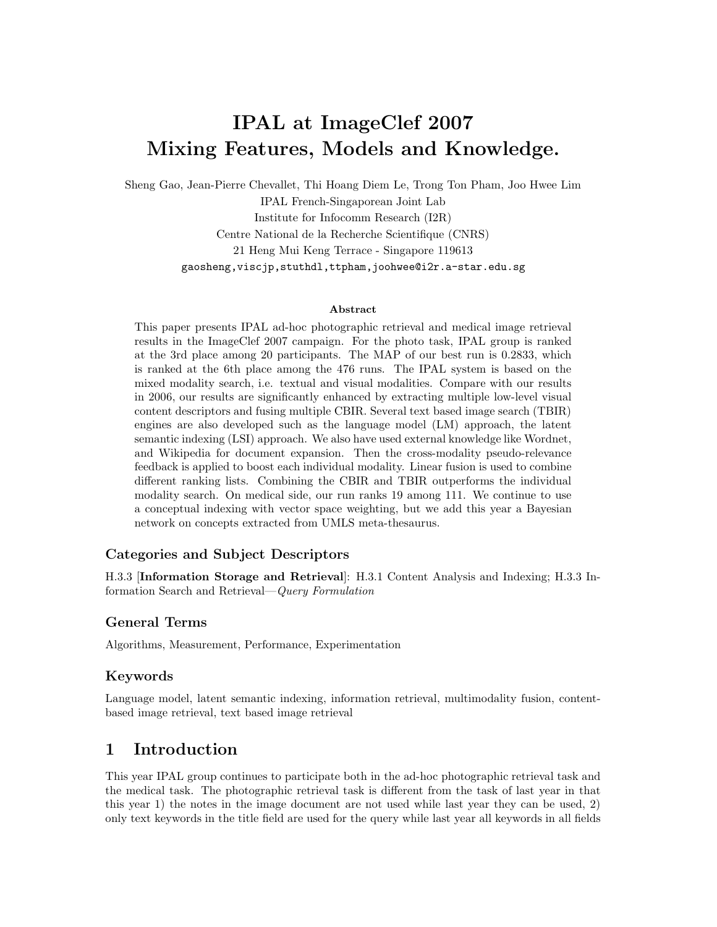# **IPAL at ImageClef 2007 Mixing Features, Models and Knowledge.**

Sheng Gao, Jean-Pierre Chevallet, Thi Hoang Diem Le, Trong Ton Pham, Joo Hwee Lim IPAL French-Singaporean Joint Lab Institute for Infocomm Research (I2R) Centre National de la Recherche Scientifique (CNRS) 21 Heng Mui Keng Terrace - Singapore 119613 gaosheng,viscjp,stuthdl,ttpham,joohwee@i2r.a-star.edu.sg

#### **Abstract**

This paper presents IPAL ad-hoc photographic retrieval and medical image retrieval results in the ImageClef 2007 campaign. For the photo task, IPAL group is ranked at the 3rd place among 20 participants. The MAP of our best run is 0.2833, which is ranked at the 6th place among the 476 runs. The IPAL system is based on the mixed modality search, i.e. textual and visual modalities. Compare with our results in 2006, our results are significantly enhanced by extracting multiple low-level visual content descriptors and fusing multiple CBIR. Several text based image search (TBIR) engines are also developed such as the language model (LM) approach, the latent semantic indexing (LSI) approach. We also have used external knowledge like Wordnet, and Wikipedia for document expansion. Then the cross-modality pseudo-relevance feedback is applied to boost each individual modality. Linear fusion is used to combine different ranking lists. Combining the CBIR and TBIR outperforms the individual modality search. On medical side, our run ranks 19 among 111. We continue to use a conceptual indexing with vector space weighting, but we add this year a Bayesian network on concepts extracted from UMLS meta-thesaurus.

#### **Categories and Subject Descriptors**

H.3.3 [**Information Storage and Retrieval**]: H.3.1 Content Analysis and Indexing; H.3.3 Information Search and Retrieval—*Query Formulation*

### **General Terms**

Algorithms, Measurement, Performance, Experimentation

#### **Keywords**

Language model, latent semantic indexing, information retrieval, multimodality fusion, contentbased image retrieval, text based image retrieval

# **1 Introduction**

This year IPAL group continues to participate both in the ad-hoc photographic retrieval task and the medical task. The photographic retrieval task is different from the task of last year in that this year 1) the notes in the image document are not used while last year they can be used, 2) only text keywords in the title field are used for the query while last year all keywords in all fields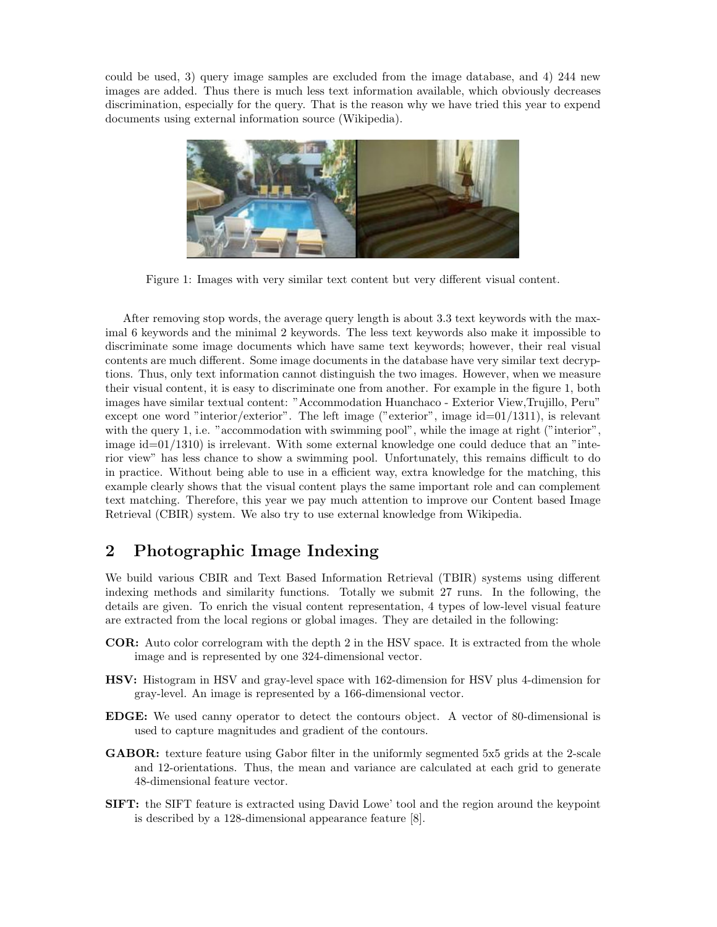could be used, 3) query image samples are excluded from the image database, and 4) 244 new images are added. Thus there is much less text information available, which obviously decreases discrimination, especially for the query. That is the reason why we have tried this year to expend documents using external information source (Wikipedia).



Figure 1: Images with very similar text content but very different visual content.

After removing stop words, the average query length is about 3.3 text keywords with the maximal 6 keywords and the minimal 2 keywords. The less text keywords also make it impossible to discriminate some image documents which have same text keywords; however, their real visual contents are much different. Some image documents in the database have very similar text decryptions. Thus, only text information cannot distinguish the two images. However, when we measure their visual content, it is easy to discriminate one from another. For example in the figure 1, both images have similar textual content: "Accommodation Huanchaco - Exterior View,Trujillo, Peru" except one word "interior/exterior". The left image ("exterior", image id=01/1311), is relevant with the query 1, i.e. "accommodation with swimming pool", while the image at right ("interior", image  $id=01/1310$  is irrelevant. With some external knowledge one could deduce that an "interior view" has less chance to show a swimming pool. Unfortunately, this remains difficult to do in practice. Without being able to use in a efficient way, extra knowledge for the matching, this example clearly shows that the visual content plays the same important role and can complement text matching. Therefore, this year we pay much attention to improve our Content based Image Retrieval (CBIR) system. We also try to use external knowledge from Wikipedia.

# **2 Photographic Image Indexing**

We build various CBIR and Text Based Information Retrieval (TBIR) systems using different indexing methods and similarity functions. Totally we submit 27 runs. In the following, the details are given. To enrich the visual content representation, 4 types of low-level visual feature are extracted from the local regions or global images. They are detailed in the following:

- **COR:** Auto color correlogram with the depth 2 in the HSV space. It is extracted from the whole image and is represented by one 324-dimensional vector.
- **HSV:** Histogram in HSV and gray-level space with 162-dimension for HSV plus 4-dimension for gray-level. An image is represented by a 166-dimensional vector.
- **EDGE:** We used canny operator to detect the contours object. A vector of 80-dimensional is used to capture magnitudes and gradient of the contours.
- **GABOR:** texture feature using Gabor filter in the uniformly segmented 5x5 grids at the 2-scale and 12-orientations. Thus, the mean and variance are calculated at each grid to generate 48-dimensional feature vector.
- **SIFT:** the SIFT feature is extracted using David Lowe' tool and the region around the keypoint is described by a 128-dimensional appearance feature [8].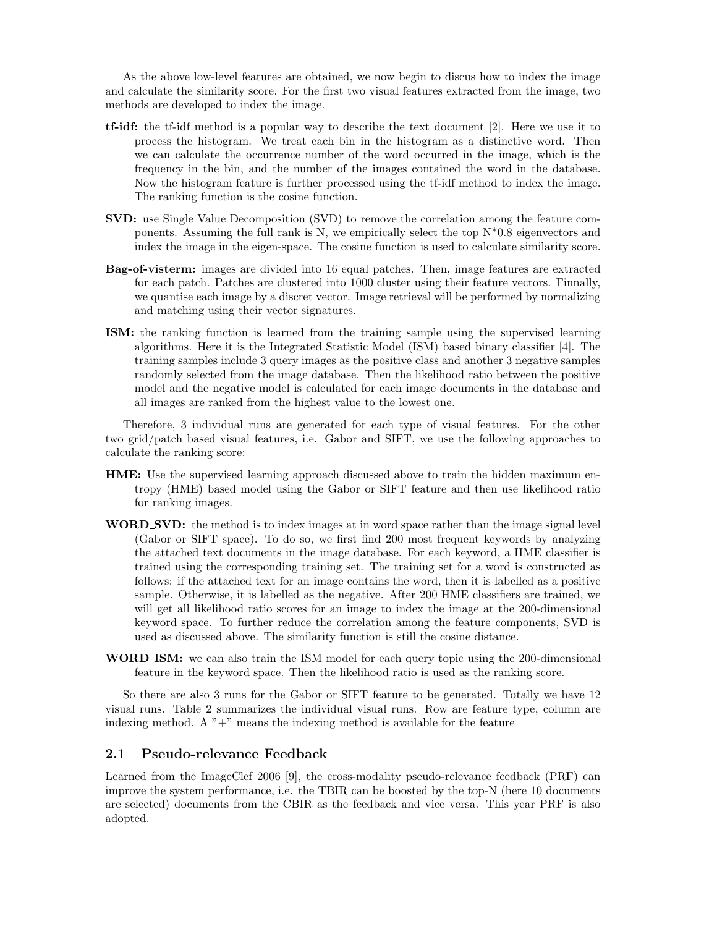As the above low-level features are obtained, we now begin to discus how to index the image and calculate the similarity score. For the first two visual features extracted from the image, two methods are developed to index the image.

- **tf-idf:** the tf-idf method is a popular way to describe the text document [2]. Here we use it to process the histogram. We treat each bin in the histogram as a distinctive word. Then we can calculate the occurrence number of the word occurred in the image, which is the frequency in the bin, and the number of the images contained the word in the database. Now the histogram feature is further processed using the tf-idf method to index the image. The ranking function is the cosine function.
- **SVD:** use Single Value Decomposition (SVD) to remove the correlation among the feature components. Assuming the full rank is N, we empirically select the top  $N^*0.8$  eigenvectors and index the image in the eigen-space. The cosine function is used to calculate similarity score.
- **Bag-of-visterm:** images are divided into 16 equal patches. Then, image features are extracted for each patch. Patches are clustered into 1000 cluster using their feature vectors. Finnally, we quantise each image by a discret vector. Image retrieval will be performed by normalizing and matching using their vector signatures.
- **ISM:** the ranking function is learned from the training sample using the supervised learning algorithms. Here it is the Integrated Statistic Model (ISM) based binary classifier [4]. The training samples include 3 query images as the positive class and another 3 negative samples randomly selected from the image database. Then the likelihood ratio between the positive model and the negative model is calculated for each image documents in the database and all images are ranked from the highest value to the lowest one.

Therefore, 3 individual runs are generated for each type of visual features. For the other two grid/patch based visual features, i.e. Gabor and SIFT, we use the following approaches to calculate the ranking score:

- **HME:** Use the supervised learning approach discussed above to train the hidden maximum entropy (HME) based model using the Gabor or SIFT feature and then use likelihood ratio for ranking images.
- **WORD SVD:** the method is to index images at in word space rather than the image signal level (Gabor or SIFT space). To do so, we first find 200 most frequent keywords by analyzing the attached text documents in the image database. For each keyword, a HME classifier is trained using the corresponding training set. The training set for a word is constructed as follows: if the attached text for an image contains the word, then it is labelled as a positive sample. Otherwise, it is labelled as the negative. After 200 HME classifiers are trained, we will get all likelihood ratio scores for an image to index the image at the 200-dimensional keyword space. To further reduce the correlation among the feature components, SVD is used as discussed above. The similarity function is still the cosine distance.
- **WORD ISM:** we can also train the ISM model for each query topic using the 200-dimensional feature in the keyword space. Then the likelihood ratio is used as the ranking score.

So there are also 3 runs for the Gabor or SIFT feature to be generated. Totally we have 12 visual runs. Table 2 summarizes the individual visual runs. Row are feature type, column are indexing method. A  $" +"$  means the indexing method is available for the feature

#### **2.1 Pseudo-relevance Feedback**

Learned from the ImageClef 2006 [9], the cross-modality pseudo-relevance feedback (PRF) can improve the system performance, i.e. the TBIR can be boosted by the top-N (here 10 documents are selected) documents from the CBIR as the feedback and vice versa. This year PRF is also adopted.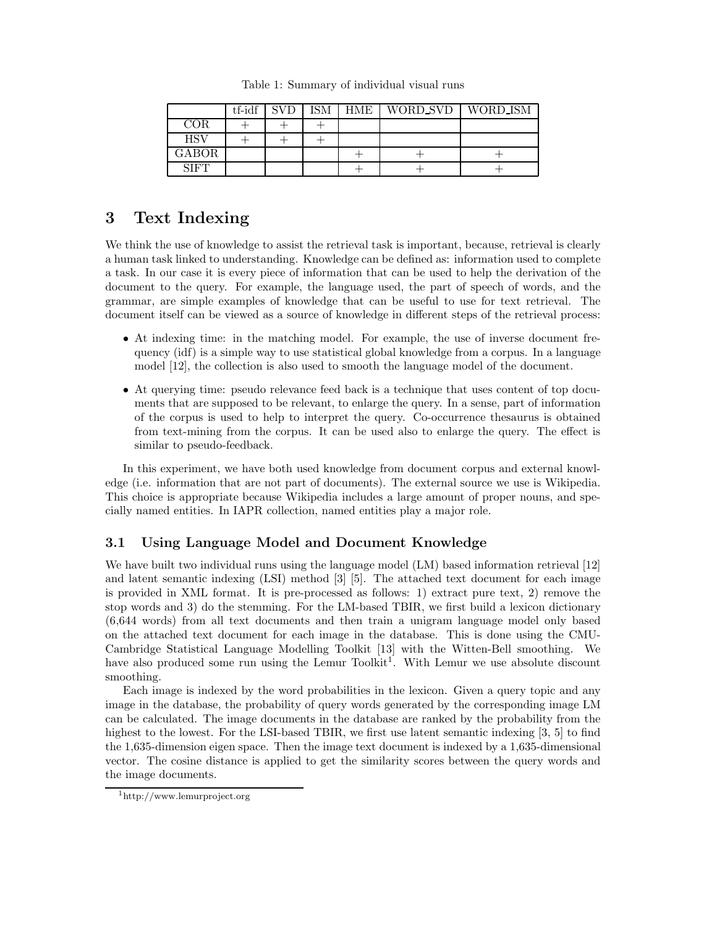|                | tf-idf | <b>SVD</b> | ISM | HME | WORD SVD   WORD ISM |  |
|----------------|--------|------------|-----|-----|---------------------|--|
| COR            |        |            |     |     |                     |  |
| <b>HSV</b>     |        |            |     |     |                     |  |
| $_{\rm GABOR}$ |        |            |     |     |                     |  |
| SIFT           |        |            |     |     |                     |  |

Table 1: Summary of individual visual runs

# **3 Text Indexing**

We think the use of knowledge to assist the retrieval task is important, because, retrieval is clearly a human task linked to understanding. Knowledge can be defined as: information used to complete a task. In our case it is every piece of information that can be used to help the derivation of the document to the query. For example, the language used, the part of speech of words, and the grammar, are simple examples of knowledge that can be useful to use for text retrieval. The document itself can be viewed as a source of knowledge in different steps of the retrieval process:

- At indexing time: in the matching model. For example, the use of inverse document frequency (idf) is a simple way to use statistical global knowledge from a corpus. In a language model [12], the collection is also used to smooth the language model of the document.
- At querying time: pseudo relevance feed back is a technique that uses content of top documents that are supposed to be relevant, to enlarge the query. In a sense, part of information of the corpus is used to help to interpret the query. Co-occurrence thesaurus is obtained from text-mining from the corpus. It can be used also to enlarge the query. The effect is similar to pseudo-feedback.

In this experiment, we have both used knowledge from document corpus and external knowledge (i.e. information that are not part of documents). The external source we use is Wikipedia. This choice is appropriate because Wikipedia includes a large amount of proper nouns, and specially named entities. In IAPR collection, named entities play a major role.

## **3.1 Using Language Model and Document Knowledge**

We have built two individual runs using the language model (LM) based information retrieval [12] and latent semantic indexing (LSI) method [3] [5]. The attached text document for each image is provided in XML format. It is pre-processed as follows: 1) extract pure text, 2) remove the stop words and 3) do the stemming. For the LM-based TBIR, we first build a lexicon dictionary (6,644 words) from all text documents and then train a unigram language model only based on the attached text document for each image in the database. This is done using the CMU-Cambridge Statistical Language Modelling Toolkit [13] with the Witten-Bell smoothing. We have also produced some run using the Lemur Toolkit<sup>1</sup>. With Lemur we use absolute discount smoothing.

Each image is indexed by the word probabilities in the lexicon. Given a query topic and any image in the database, the probability of query words generated by the corresponding image LM can be calculated. The image documents in the database are ranked by the probability from the highest to the lowest. For the LSI-based TBIR, we first use latent semantic indexing [3, 5] to find the 1,635-dimension eigen space. Then the image text document is indexed by a 1,635-dimensional vector. The cosine distance is applied to get the similarity scores between the query words and the image documents.

<sup>1</sup>http://www.lemurproject.org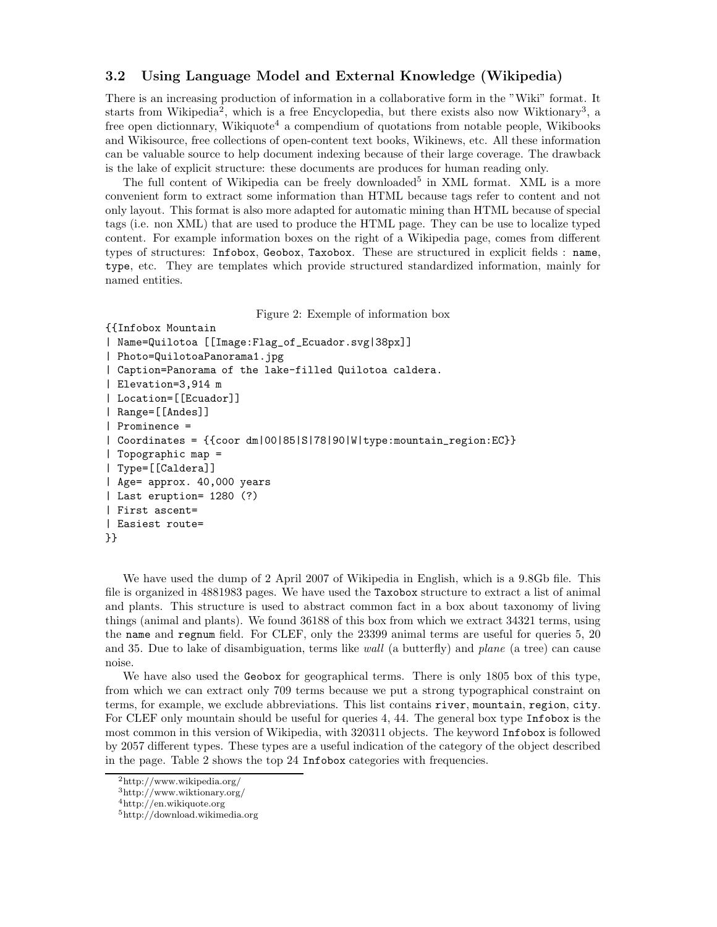#### **3.2 Using Language Model and External Knowledge (Wikipedia)**

There is an increasing production of information in a collaborative form in the "Wiki" format. It starts from Wikipedia<sup>2</sup>, which is a free Encyclopedia, but there exists also now Wiktionary<sup>3</sup>, a free open dictionnary, Wikiquote<sup>4</sup> a compendium of quotations from notable people, Wikibooks and Wikisource, free collections of open-content text books, Wikinews, etc. All these information can be valuable source to help document indexing because of their large coverage. The drawback is the lake of explicit structure: these documents are produces for human reading only.

The full content of Wikipedia can be freely downloaded<sup>5</sup> in XML format. XML is a more convenient form to extract some information than HTML because tags refer to content and not only layout. This format is also more adapted for automatic mining than HTML because of special tags (i.e. non XML) that are used to produce the HTML page. They can be use to localize typed content. For example information boxes on the right of a Wikipedia page, comes from different types of structures: Infobox, Geobox, Taxobox. These are structured in explicit fields : name, type, etc. They are templates which provide structured standardized information, mainly for named entities.

Figure 2: Exemple of information box

```
{{Infobox Mountain
| Name=Quilotoa [[Image:Flag_of_Ecuador.svg|38px]]
| Photo=QuilotoaPanorama1.jpg
| Caption=Panorama of the lake-filled Quilotoa caldera.
| Elevation=3,914 m
| Location=[[Ecuador]]
| Range=[[Andes]]
| Prominence =
| Coordinates = {{coor dm|00|85|S|78|90|W|type:mountain_region:EC}}
| Topographic map =
| Type=[[Caldera]]
| Age= approx. 40,000 years
| Last eruption= 1280 (?)
| First ascent=
| Easiest route=
}}
```
We have used the dump of 2 April 2007 of Wikipedia in English, which is a 9.8Gb file. This file is organized in 4881983 pages. We have used the Taxobox structure to extract a list of animal and plants. This structure is used to abstract common fact in a box about taxonomy of living things (animal and plants). We found 36188 of this box from which we extract 34321 terms, using the name and regnum field. For CLEF, only the 23399 animal terms are useful for queries 5, 20 and 35. Due to lake of disambiguation, terms like *wall* (a butterfly) and *plane* (a tree) can cause noise.

We have also used the Geobox for geographical terms. There is only 1805 box of this type, from which we can extract only 709 terms because we put a strong typographical constraint on terms, for example, we exclude abbreviations. This list contains river, mountain, region, city. For CLEF only mountain should be useful for queries 4, 44. The general box type Infobox is the most common in this version of Wikipedia, with 320311 objects. The keyword Infobox is followed by 2057 different types. These types are a useful indication of the category of the object described in the page. Table 2 shows the top 24 Infobox categories with frequencies.

 $^{2}$ http://www.wikipedia.org/

<sup>3</sup>http://www.wiktionary.org/

 $4$ http://en.wikiquote.org

<sup>5</sup>http://download.wikimedia.org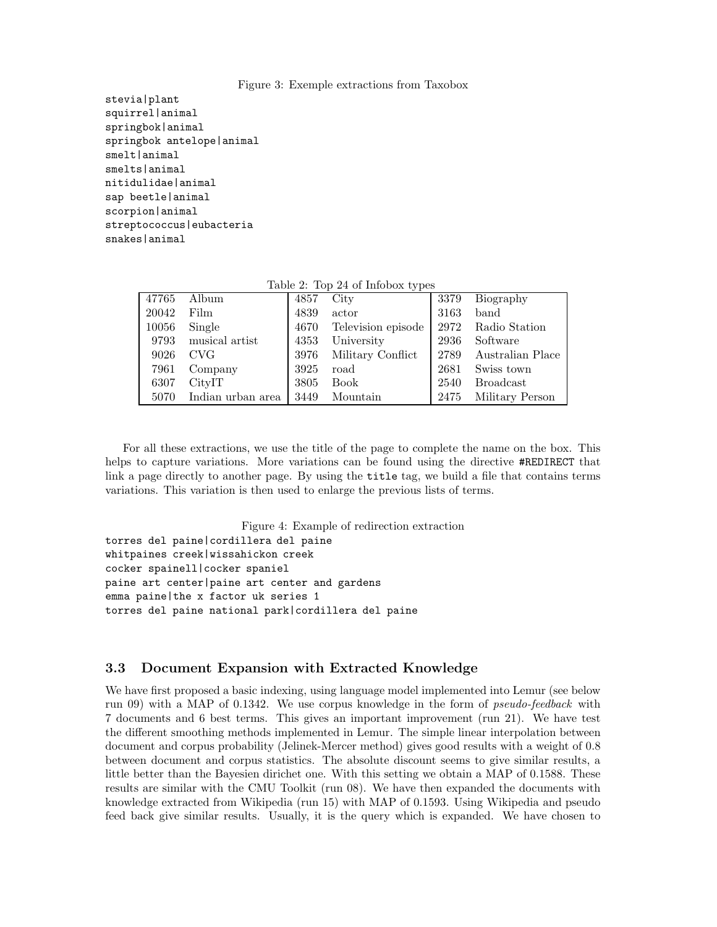#### Figure 3: Exemple extractions from Taxobox

stevia|plant squirrel|animal springbok|animal springbok antelope|animal smelt|animal smelts|animal nitidulidae|animal sap beetle|animal scorpion|animal streptococcus|eubacteria snakes|animal

| $\frac{1}{2}$ and $\frac{1}{2}$ and $\frac{1}{2}$ and $\frac{1}{2}$ and $\frac{1}{2}$ and $\frac{1}{2}$ and $\frac{1}{2}$ and $\frac{1}{2}$ and $\frac{1}{2}$ and $\frac{1}{2}$ and $\frac{1}{2}$ and $\frac{1}{2}$ and $\frac{1}{2}$ and $\frac{1}{2}$ and $\frac{1}{2}$ and $\frac{1}{2}$ a |                   |      |                    |      |                  |  |  |  |
|-----------------------------------------------------------------------------------------------------------------------------------------------------------------------------------------------------------------------------------------------------------------------------------------------|-------------------|------|--------------------|------|------------------|--|--|--|
| 47765                                                                                                                                                                                                                                                                                         | Album             | 4857 | City               | 3379 | Biography        |  |  |  |
| 20042                                                                                                                                                                                                                                                                                         | Film              | 4839 | actor              | 3163 | band             |  |  |  |
| 10056                                                                                                                                                                                                                                                                                         | Single            | 4670 | Television episode | 2972 | Radio Station    |  |  |  |
| 9793                                                                                                                                                                                                                                                                                          | musical artist    | 4353 | University         | 2936 | Software         |  |  |  |
| 9026                                                                                                                                                                                                                                                                                          | CVG               | 3976 | Military Conflict  | 2789 | Australian Place |  |  |  |
| 7961                                                                                                                                                                                                                                                                                          | Company           | 3925 | road               | 2681 | Swiss town       |  |  |  |
| 6307                                                                                                                                                                                                                                                                                          | CityIT            | 3805 | <b>Book</b>        | 2540 | <b>Broadcast</b> |  |  |  |
| 5070                                                                                                                                                                                                                                                                                          | Indian urban area | 3449 | Mountain           | 2475 | Military Person  |  |  |  |

Table 2: Top 24 of Infobox types

For all these extractions, we use the title of the page to complete the name on the box. This helps to capture variations. More variations can be found using the directive #REDIRECT that link a page directly to another page. By using the title tag, we build a file that contains terms variations. This variation is then used to enlarge the previous lists of terms.

```
Figure 4: Example of redirection extraction
torres del paine|cordillera del paine
whitpaines creek|wissahickon creek
cocker spainell|cocker spaniel
paine art center|paine art center and gardens
emma paine|the x factor uk series 1
torres del paine national park|cordillera del paine
```
#### **3.3 Document Expansion with Extracted Knowledge**

We have first proposed a basic indexing, using language model implemented into Lemur (see below run 09) with a MAP of 0.1342. We use corpus knowledge in the form of *pseudo-feedback* with 7 documents and 6 best terms. This gives an important improvement (run 21). We have test the different smoothing methods implemented in Lemur. The simple linear interpolation between document and corpus probability (Jelinek-Mercer method) gives good results with a weight of 0.8 between document and corpus statistics. The absolute discount seems to give similar results, a little better than the Bayesien dirichet one. With this setting we obtain a MAP of 0.1588. These results are similar with the CMU Toolkit (run 08). We have then expanded the documents with knowledge extracted from Wikipedia (run 15) with MAP of 0.1593. Using Wikipedia and pseudo feed back give similar results. Usually, it is the query which is expanded. We have chosen to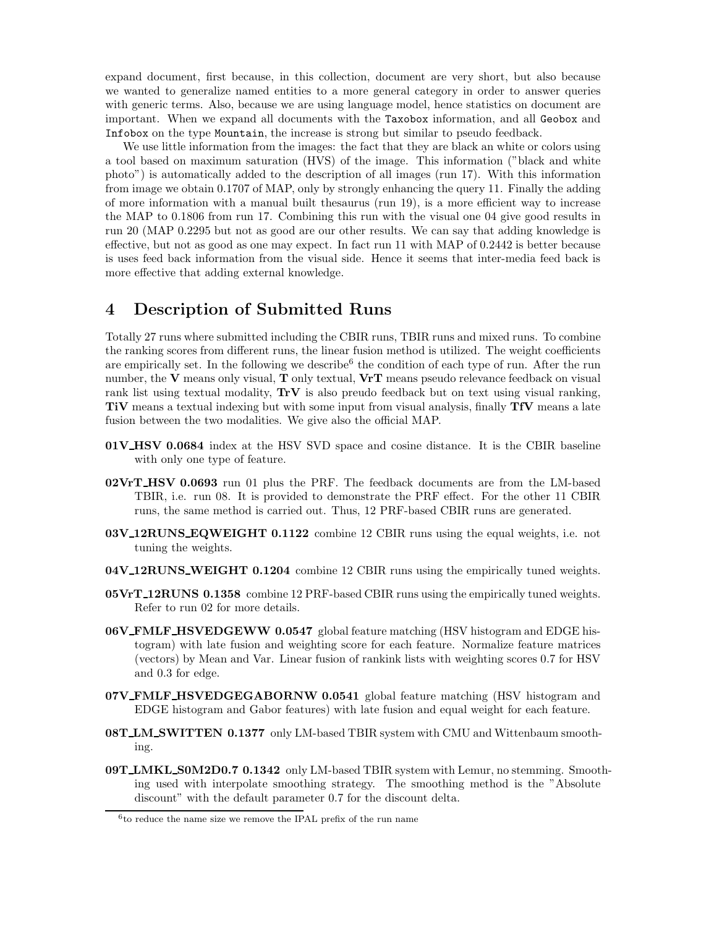expand document, first because, in this collection, document are very short, but also because we wanted to generalize named entities to a more general category in order to answer queries with generic terms. Also, because we are using language model, hence statistics on document are important. When we expand all documents with the Taxobox information, and all Geobox and Infobox on the type Mountain, the increase is strong but similar to pseudo feedback.

We use little information from the images: the fact that they are black an white or colors using a tool based on maximum saturation (HVS) of the image. This information ("black and white photo") is automatically added to the description of all images (run 17). With this information from image we obtain 0.1707 of MAP, only by strongly enhancing the query 11. Finally the adding of more information with a manual built thesaurus (run 19), is a more efficient way to increase the MAP to 0.1806 from run 17. Combining this run with the visual one 04 give good results in run 20 (MAP 0.2295 but not as good are our other results. We can say that adding knowledge is effective, but not as good as one may expect. In fact run 11 with MAP of 0.2442 is better because is uses feed back information from the visual side. Hence it seems that inter-media feed back is more effective that adding external knowledge.

# **4 Description of Submitted Runs**

Totally 27 runs where submitted including the CBIR runs, TBIR runs and mixed runs. To combine the ranking scores from different runs, the linear fusion method is utilized. The weight coefficients are empirically set. In the following we describe  $6$  the condition of each type of run. After the run number, the **V** means only visual, **T** only textual, **VrT** means pseudo relevance feedback on visual rank list using textual modality, **TrV** is also preudo feedback but on text using visual ranking, **TiV** means a textual indexing but with some input from visual analysis, finally **TfV** means a late fusion between the two modalities. We give also the official MAP.

- **01V HSV 0.0684** index at the HSV SVD space and cosine distance. It is the CBIR baseline with only one type of feature.
- **02VrT HSV 0.0693** run 01 plus the PRF. The feedback documents are from the LM-based TBIR, i.e. run 08. It is provided to demonstrate the PRF effect. For the other 11 CBIR runs, the same method is carried out. Thus, 12 PRF-based CBIR runs are generated.
- **03V 12RUNS EQWEIGHT 0.1122** combine 12 CBIR runs using the equal weights, i.e. not tuning the weights.
- **04V 12RUNS WEIGHT 0.1204** combine 12 CBIR runs using the empirically tuned weights.
- **05VrT 12RUNS 0.1358** combine 12 PRF-based CBIR runs using the empirically tuned weights. Refer to run 02 for more details.
- **06V FMLF HSVEDGEWW 0.0547** global feature matching (HSV histogram and EDGE histogram) with late fusion and weighting score for each feature. Normalize feature matrices (vectors) by Mean and Var. Linear fusion of rankink lists with weighting scores 0.7 for HSV and 0.3 for edge.
- **07V FMLF HSVEDGEGABORNW 0.0541** global feature matching (HSV histogram and EDGE histogram and Gabor features) with late fusion and equal weight for each feature.
- **08T LM SWITTEN 0.1377** only LM-based TBIR system with CMU and Wittenbaum smoothing.
- **09T LMKL S0M2D0.7 0.1342** only LM-based TBIR system with Lemur, no stemming. Smoothing used with interpolate smoothing strategy. The smoothing method is the "Absolute discount" with the default parameter 0.7 for the discount delta.

<sup>6</sup>to reduce the name size we remove the IPAL prefix of the run name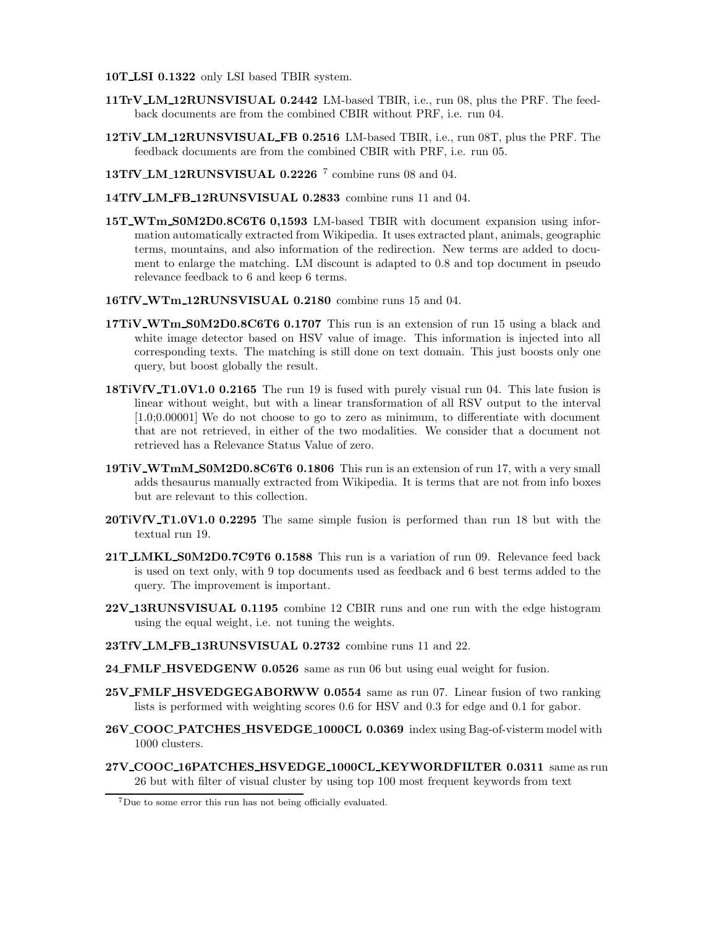**10T LSI 0.1322** only LSI based TBIR system.

- **11TrV LM 12RUNSVISUAL 0.2442** LM-based TBIR, i.e., run 08, plus the PRF. The feedback documents are from the combined CBIR without PRF, i.e. run 04.
- **12TiV LM 12RUNSVISUAL FB 0.2516** LM-based TBIR, i.e., run 08T, plus the PRF. The feedback documents are from the combined CBIR with PRF, i.e. run 05.
- **13TfV LM 12RUNSVISUAL 0.2226** <sup>7</sup> combine runs 08 and 04.
- **14TfV LM FB 12RUNSVISUAL 0.2833** combine runs 11 and 04.
- **15T WTm S0M2D0.8C6T6 0,1593** LM-based TBIR with document expansion using information automatically extracted from Wikipedia. It uses extracted plant, animals, geographic terms, mountains, and also information of the redirection. New terms are added to document to enlarge the matching. LM discount is adapted to 0.8 and top document in pseudo relevance feedback to 6 and keep 6 terms.
- **16TfV WTm 12RUNSVISUAL 0.2180** combine runs 15 and 04.
- **17TiV WTm S0M2D0.8C6T6 0.1707** This run is an extension of run 15 using a black and white image detector based on HSV value of image. This information is injected into all corresponding texts. The matching is still done on text domain. This just boosts only one query, but boost globally the result.
- **18TiVfV\_T1.0V1.0 0.2165** The run 19 is fused with purely visual run 04. This late fusion is linear without weight, but with a linear transformation of all RSV output to the interval [1.0;0.00001] We do not choose to go to zero as minimum, to differentiate with document that are not retrieved, in either of the two modalities. We consider that a document not retrieved has a Relevance Status Value of zero.
- **19TiV WTmM S0M2D0.8C6T6 0.1806** This run is an extension of run 17, with a very small adds thesaurus manually extracted from Wikipedia. It is terms that are not from info boxes but are relevant to this collection.
- **20TiVfV T1.0V1.0 0.2295** The same simple fusion is performed than run 18 but with the textual run 19.
- **21T LMKL S0M2D0.7C9T6 0.1588** This run is a variation of run 09. Relevance feed back is used on text only, with 9 top documents used as feedback and 6 best terms added to the query. The improvement is important.
- **22V 13RUNSVISUAL 0.1195** combine 12 CBIR runs and one run with the edge histogram using the equal weight, i.e. not tuning the weights.
- **23TfV LM FB 13RUNSVISUAL 0.2732** combine runs 11 and 22.
- **24 FMLF HSVEDGENW 0.0526** same as run 06 but using eual weight for fusion.
- **25V FMLF HSVEDGEGABORWW 0.0554** same as run 07. Linear fusion of two ranking lists is performed with weighting scores 0.6 for HSV and 0.3 for edge and 0.1 for gabor.
- **26V COOC PATCHES HSVEDGE 1000CL 0.0369** index using Bag-of-visterm model with 1000 clusters.
- **27V COOC 16PATCHES HSVEDGE 1000CL KEYWORDFILTER 0.0311** same as run 26 but with filter of visual cluster by using top 100 most frequent keywords from text

<sup>7</sup>Due to some error this run has not being officially evaluated.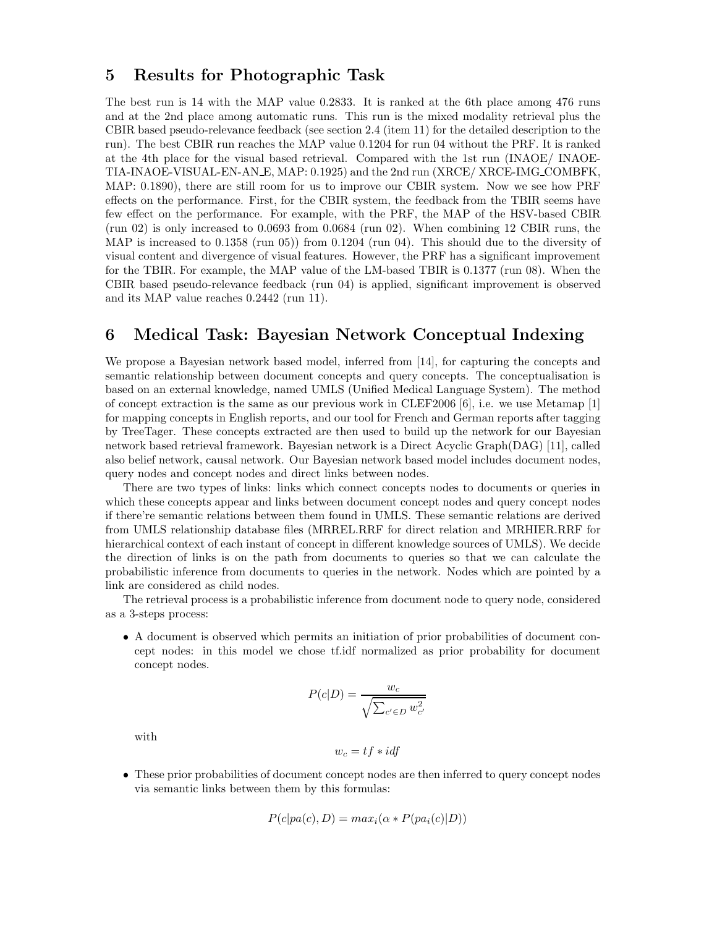# **5 Results for Photographic Task**

The best run is 14 with the MAP value 0.2833. It is ranked at the 6th place among 476 runs and at the 2nd place among automatic runs. This run is the mixed modality retrieval plus the CBIR based pseudo-relevance feedback (see section 2.4 (item 11) for the detailed description to the run). The best CBIR run reaches the MAP value 0.1204 for run 04 without the PRF. It is ranked at the 4th place for the visual based retrieval. Compared with the 1st run (INAOE/ INAOE-TIA-INAOE-VISUAL-EN-AN E, MAP: 0.1925) and the 2nd run (XRCE/ XRCE-IMG COMBFK, MAP: 0.1890), there are still room for us to improve our CBIR system. Now we see how PRF effects on the performance. First, for the CBIR system, the feedback from the TBIR seems have few effect on the performance. For example, with the PRF, the MAP of the HSV-based CBIR  $(run 02)$  is only increased to 0.0693 from 0.0684 (run 02). When combining 12 CBIR runs, the MAP is increased to 0.1358 (run 05)) from 0.1204 (run 04). This should due to the diversity of visual content and divergence of visual features. However, the PRF has a significant improvement for the TBIR. For example, the MAP value of the LM-based TBIR is 0.1377 (run 08). When the CBIR based pseudo-relevance feedback (run 04) is applied, significant improvement is observed and its MAP value reaches 0.2442 (run 11).

# **6 Medical Task: Bayesian Network Conceptual Indexing**

We propose a Bayesian network based model, inferred from [14], for capturing the concepts and semantic relationship between document concepts and query concepts. The conceptualisation is based on an external knowledge, named UMLS (Unified Medical Language System). The method of concept extraction is the same as our previous work in CLEF2006 [6], i.e. we use Metamap [1] for mapping concepts in English reports, and our tool for French and German reports after tagging by TreeTager. These concepts extracted are then used to build up the network for our Bayesian network based retrieval framework. Bayesian network is a Direct Acyclic Graph(DAG) [11], called also belief network, causal network. Our Bayesian network based model includes document nodes, query nodes and concept nodes and direct links between nodes.

There are two types of links: links which connect concepts nodes to documents or queries in which these concepts appear and links between document concept nodes and query concept nodes if there're semantic relations between them found in UMLS. These semantic relations are derived from UMLS relationship database files (MRREL.RRF for direct relation and MRHIER.RRF for hierarchical context of each instant of concept in different knowledge sources of UMLS). We decide the direction of links is on the path from documents to queries so that we can calculate the probabilistic inference from documents to queries in the network. Nodes which are pointed by a link are considered as child nodes.

The retrieval process is a probabilistic inference from document node to query node, considered as a 3-steps process:

• A document is observed which permits an initiation of prior probabilities of document concept nodes: in this model we chose tf.idf normalized as prior probability for document concept nodes.

$$
P(c|D) = \frac{w_c}{\sqrt{\sum_{c' \in D} w_{c'}^2}}
$$

with

$$
w_c = tf * idf
$$

• These prior probabilities of document concept nodes are then inferred to query concept nodes via semantic links between them by this formulas:

$$
P(c|pa(c), D) = max_i(\alpha * P(pa_i(c)|D))
$$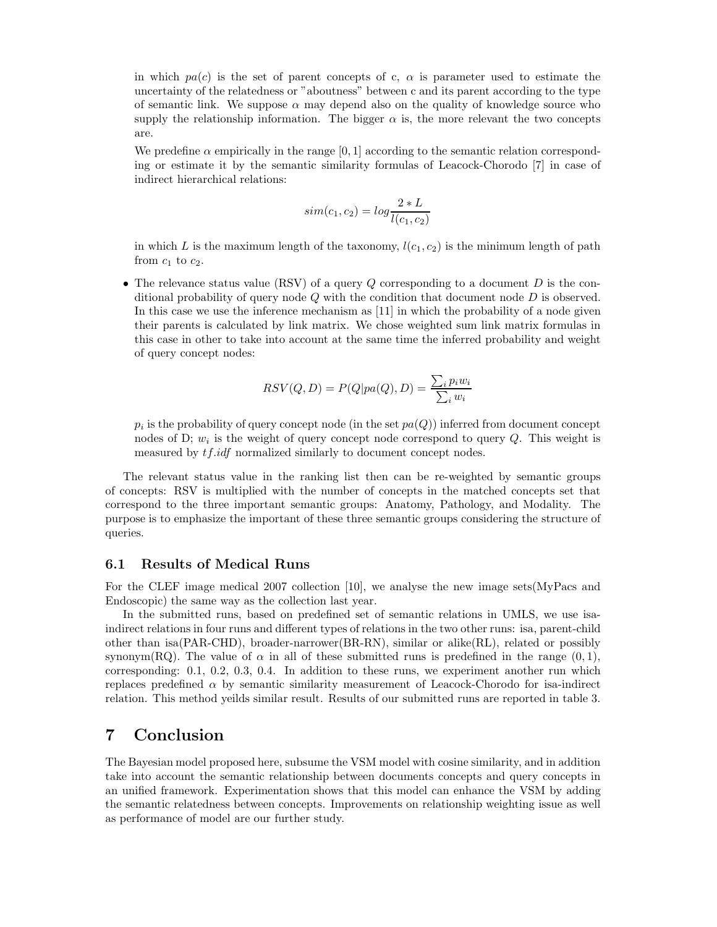in which  $pa(c)$  is the set of parent concepts of c,  $\alpha$  is parameter used to estimate the uncertainty of the relatedness or "aboutness" between c and its parent according to the type of semantic link. We suppose  $\alpha$  may depend also on the quality of knowledge source who supply the relationship information. The bigger  $\alpha$  is, the more relevant the two concepts are.

We predefine  $\alpha$  empirically in the range [0, 1] according to the semantic relation corresponding or estimate it by the semantic similarity formulas of Leacock-Chorodo [7] in case of indirect hierarchical relations:

$$
sim(c_1, c_2) = log \frac{2 * L}{l(c_1, c_2)}
$$

in which L is the maximum length of the taxonomy,  $l(c_1, c_2)$  is the minimum length of path from  $c_1$  to  $c_2$ .

• The relevance status value (RSV) of a query  $Q$  corresponding to a document  $D$  is the conditional probability of query node  $Q$  with the condition that document node  $D$  is observed. In this case we use the inference mechanism as [11] in which the probability of a node given their parents is calculated by link matrix. We chose weighted sum link matrix formulas in this case in other to take into account at the same time the inferred probability and weight of query concept nodes:

$$
RSV(Q, D) = P(Q|pa(Q), D) = \frac{\sum_{i} p_i w_i}{\sum_{i} w_i}
$$

 $p_i$  is the probability of query concept node (in the set  $pa(Q)$ ) inferred from document concept nodes of D; w*<sup>i</sup>* is the weight of query concept node correspond to query Q. This weight is measured by tf.idf normalized similarly to document concept nodes.

The relevant status value in the ranking list then can be re-weighted by semantic groups of concepts: RSV is multiplied with the number of concepts in the matched concepts set that correspond to the three important semantic groups: Anatomy, Pathology, and Modality. The purpose is to emphasize the important of these three semantic groups considering the structure of queries.

#### **6.1 Results of Medical Runs**

For the CLEF image medical 2007 collection [10], we analyse the new image sets(MyPacs and Endoscopic) the same way as the collection last year.

In the submitted runs, based on predefined set of semantic relations in UMLS, we use isaindirect relations in four runs and different types of relations in the two other runs: isa, parent-child other than isa(PAR-CHD), broader-narrower(BR-RN), similar or alike(RL), related or possibly synonym(RQ). The value of  $\alpha$  in all of these submitted runs is predefined in the range  $(0, 1)$ , corresponding: 0.1, 0.2, 0.3, 0.4. In addition to these runs, we experiment another run which replaces predefined  $\alpha$  by semantic similarity measurement of Leacock-Chorodo for isa-indirect relation. This method yeilds similar result. Results of our submitted runs are reported in table 3.

## **7 Conclusion**

The Bayesian model proposed here, subsume the VSM model with cosine similarity, and in addition take into account the semantic relationship between documents concepts and query concepts in an unified framework. Experimentation shows that this model can enhance the VSM by adding the semantic relatedness between concepts. Improvements on relationship weighting issue as well as performance of model are our further study.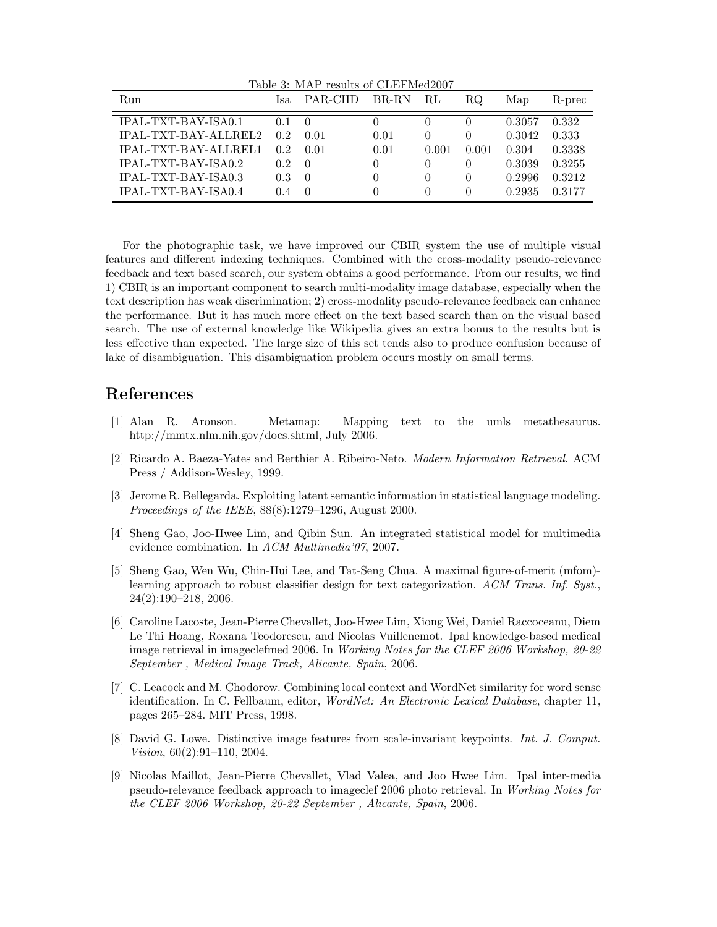| Table 3: MAP results of CLEFMed2007 |                |                  |          |          |          |        |        |  |
|-------------------------------------|----------------|------------------|----------|----------|----------|--------|--------|--|
| Run                                 | Isa            | PAR-CHD          | BR-RN    | RL       | RQ.      | Map    | R-prec |  |
| IPAL-TXT-BAY-ISA0.1                 | 0 <sub>1</sub> | $\left( \right)$ |          |          |          | 0.3057 | 0.332  |  |
| <b>IPAL-TXT-BAY-ALLREL2</b>         | 0.2            | 0.01             | 0.01     | $\theta$ |          | 0.3042 | 0.333  |  |
| <b>IPAL-TXT-BAY-ALLREL1</b>         | 0.2            | 0.01             | 0.01     | 0.001    | 0.001    | 0.304  | 0.3338 |  |
| IPAL-TXT-BAY-ISA0.2                 | 0.2            | -0               | $\theta$ | $\theta$ | $\Omega$ | 0.3039 | 0.3255 |  |
| <b>IPAL-TXT-BAY-ISA0.3</b>          | 0.3            | $\theta$         |          | $^{(1)}$ | $\Omega$ | 0.2996 | 0.3212 |  |
| IPAL-TXT-BAY-ISA0.4                 | 0.4            | $\left($         |          |          |          | 0.2935 | 0.3177 |  |

For the photographic task, we have improved our CBIR system the use of multiple visual features and different indexing techniques. Combined with the cross-modality pseudo-relevance feedback and text based search, our system obtains a good performance. From our results, we find 1) CBIR is an important component to search multi-modality image database, especially when the text description has weak discrimination; 2) cross-modality pseudo-relevance feedback can enhance the performance. But it has much more effect on the text based search than on the visual based search. The use of external knowledge like Wikipedia gives an extra bonus to the results but is less effective than expected. The large size of this set tends also to produce confusion because of lake of disambiguation. This disambiguation problem occurs mostly on small terms.

## **References**

- [1] Alan R. Aronson. Metamap: Mapping text to the umls metathesaurus. http://mmtx.nlm.nih.gov/docs.shtml, July 2006.
- [2] Ricardo A. Baeza-Yates and Berthier A. Ribeiro-Neto. *Modern Information Retrieval*. ACM Press / Addison-Wesley, 1999.
- [3] Jerome R. Bellegarda. Exploiting latent semantic information in statistical language modeling. *Proceedings of the IEEE*, 88(8):1279–1296, August 2000.
- [4] Sheng Gao, Joo-Hwee Lim, and Qibin Sun. An integrated statistical model for multimedia evidence combination. In *ACM Multimedia'07*, 2007.
- [5] Sheng Gao, Wen Wu, Chin-Hui Lee, and Tat-Seng Chua. A maximal figure-of-merit (mfom) learning approach to robust classifier design for text categorization. *ACM Trans. Inf. Syst.*, 24(2):190–218, 2006.
- [6] Caroline Lacoste, Jean-Pierre Chevallet, Joo-Hwee Lim, Xiong Wei, Daniel Raccoceanu, Diem Le Thi Hoang, Roxana Teodorescu, and Nicolas Vuillenemot. Ipal knowledge-based medical image retrieval in imageclefmed 2006. In *Working Notes for the CLEF 2006 Workshop, 20-22 September , Medical Image Track, Alicante, Spain*, 2006.
- [7] C. Leacock and M. Chodorow. Combining local context and WordNet similarity for word sense identification. In C. Fellbaum, editor, *WordNet: An Electronic Lexical Database*, chapter 11, pages 265–284. MIT Press, 1998.
- [8] David G. Lowe. Distinctive image features from scale-invariant keypoints. *Int. J. Comput. Vision*, 60(2):91–110, 2004.
- [9] Nicolas Maillot, Jean-Pierre Chevallet, Vlad Valea, and Joo Hwee Lim. Ipal inter-media pseudo-relevance feedback approach to imageclef 2006 photo retrieval. In *Working Notes for the CLEF 2006 Workshop, 20-22 September , Alicante, Spain*, 2006.